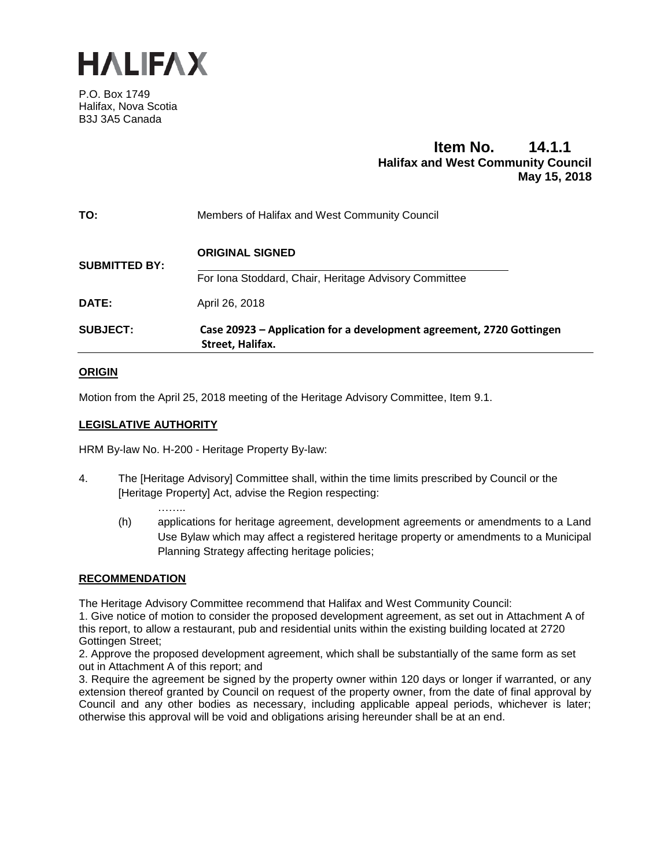

P.O. Box 1749 Halifax, Nova Scotia B3J 3A5 Canada

# **Item No. 14.1.1 Halifax and West Community Council May 15, 2018**

| TO:                  | Members of Halifax and West Community Council                                            |
|----------------------|------------------------------------------------------------------------------------------|
| <b>SUBMITTED BY:</b> | <b>ORIGINAL SIGNED</b>                                                                   |
|                      | For Iona Stoddard, Chair, Heritage Advisory Committee                                    |
| DATE:                | April 26, 2018                                                                           |
| <b>SUBJECT:</b>      | Case 20923 - Application for a development agreement, 2720 Gottingen<br>Street, Halifax. |

# **ORIGIN**

Motion from the April 25, 2018 meeting of the Heritage Advisory Committee, Item 9.1.

# **LEGISLATIVE AUTHORITY**

………

HRM By-law No. H-200 - Heritage Property By-law:

- 4. The [Heritage Advisory] Committee shall, within the time limits prescribed by Council or the [Heritage Property] Act, advise the Region respecting:
	- (h) applications for heritage agreement, development agreements or amendments to a Land Use Bylaw which may affect a registered heritage property or amendments to a Municipal Planning Strategy affecting heritage policies;

## **RECOMMENDATION**

The Heritage Advisory Committee recommend that Halifax and West Community Council:

1. Give notice of motion to consider the proposed development agreement, as set out in Attachment A of this report, to allow a restaurant, pub and residential units within the existing building located at 2720 Gottingen Street;

2. Approve the proposed development agreement, which shall be substantially of the same form as set out in Attachment A of this report; and

3. Require the agreement be signed by the property owner within 120 days or longer if warranted, or any extension thereof granted by Council on request of the property owner, from the date of final approval by Council and any other bodies as necessary, including applicable appeal periods, whichever is later; otherwise this approval will be void and obligations arising hereunder shall be at an end.